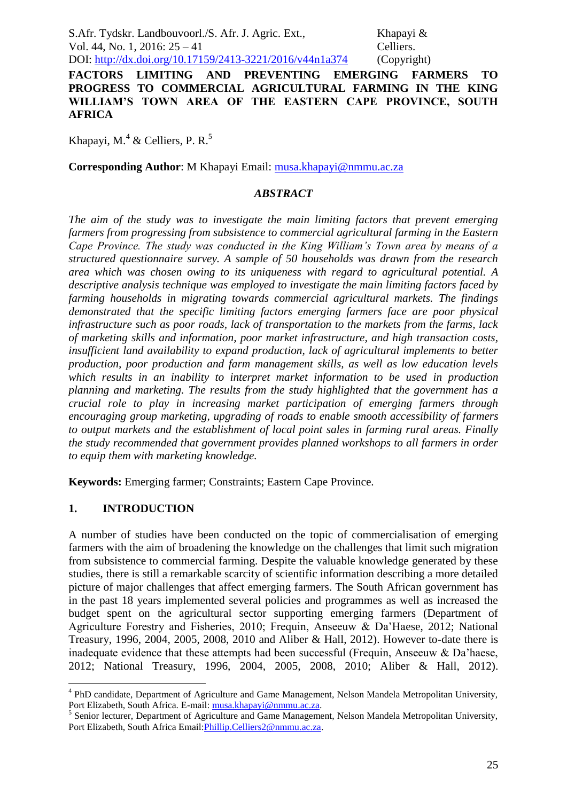**FACTORS LIMITING AND PREVENTING EMERGING FARMERS TO PROGRESS TO COMMERCIAL AGRICULTURAL FARMING IN THE KING WILLIAM'S TOWN AREA OF THE EASTERN CAPE PROVINCE, SOUTH AFRICA**

Khapayi, M.<sup>4</sup> & Celliers, P. R.<sup>5</sup>

**Corresponding Author**: M Khapayi Email: [musa.khapayi@nmmu.ac.za](mailto:musa.khapayi@nmmu.ac.za)

## *ABSTRACT*

*The aim of the study was to investigate the main limiting factors that prevent emerging farmers from progressing from subsistence to commercial agricultural farming in the Eastern Cape Province. The study was conducted in the King William's Town area by means of a structured questionnaire survey. A sample of 50 households was drawn from the research area which was chosen owing to its uniqueness with regard to agricultural potential. A descriptive analysis technique was employed to investigate the main limiting factors faced by farming households in migrating towards commercial agricultural markets. The findings demonstrated that the specific limiting factors emerging farmers face are poor physical infrastructure such as poor roads, lack of transportation to the markets from the farms, lack of marketing skills and information, poor market infrastructure, and high transaction costs, insufficient land availability to expand production, lack of agricultural implements to better production, poor production and farm management skills, as well as low education levels which results in an inability to interpret market information to be used in production planning and marketing. The results from the study highlighted that the government has a crucial role to play in increasing market participation of emerging farmers through encouraging group marketing, upgrading of roads to enable smooth accessibility of farmers to output markets and the establishment of local point sales in farming rural areas. Finally the study recommended that government provides planned workshops to all farmers in order to equip them with marketing knowledge.*

**Keywords:** Emerging farmer; Constraints; Eastern Cape Province.

## **1. INTRODUCTION**

1

A number of studies have been conducted on the topic of commercialisation of emerging farmers with the aim of broadening the knowledge on the challenges that limit such migration from subsistence to commercial farming. Despite the valuable knowledge generated by these studies, there is still a remarkable scarcity of scientific information describing a more detailed picture of major challenges that affect emerging farmers. The South African government has in the past 18 years implemented several policies and programmes as well as increased the budget spent on the agricultural sector supporting emerging farmers (Department of Agriculture Forestry and Fisheries, 2010; Frequin, Anseeuw & Da'Haese, 2012; National Treasury, 1996, 2004, 2005, 2008, 2010 and Aliber & Hall, 2012). However to-date there is inadequate evidence that these attempts had been successful (Frequin, Anseeuw & Da'haese, 2012; National Treasury, 1996, 2004, 2005, 2008, 2010; Aliber & Hall, 2012).

<sup>&</sup>lt;sup>4</sup> PhD candidate, Department of Agriculture and Game Management, Nelson Mandela Metropolitan University, Port Elizabeth, South Africa. E-mail: [musa.khapayi@nmmu.ac.za.](mailto:musa.khapayi@nmmu.ac.za)

<sup>&</sup>lt;sup>5</sup> Senior lecturer, Department of Agriculture and Game Management, Nelson Mandela Metropolitan University, Port Elizabeth, South Africa Email[:Phillip.Celliers2@nmmu.ac.za.](mailto:Phillip.Celliers2@nmmu.ac.za)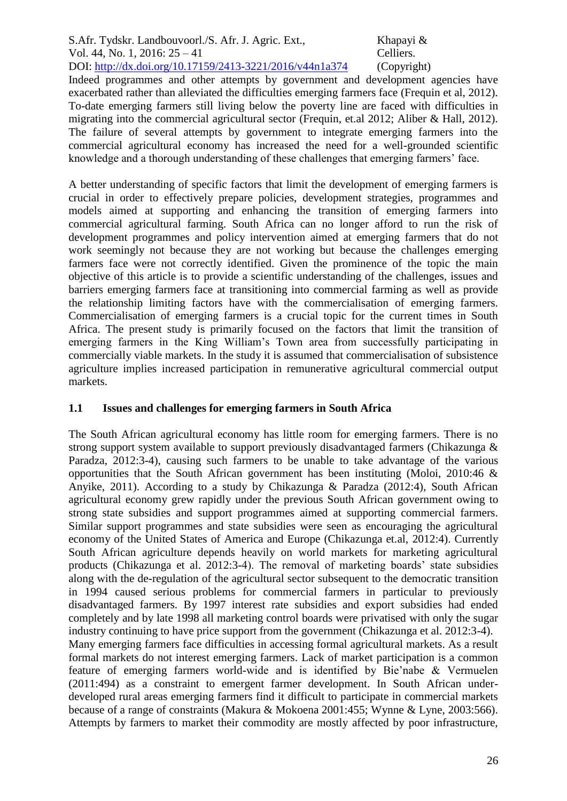Indeed programmes and other attempts by government and development agencies have exacerbated rather than alleviated the difficulties emerging farmers face (Frequin et al, 2012). To-date emerging farmers still living below the poverty line are faced with difficulties in migrating into the commercial agricultural sector (Frequin, et.al 2012; Aliber & Hall, 2012). The failure of several attempts by government to integrate emerging farmers into the commercial agricultural economy has increased the need for a well-grounded scientific knowledge and a thorough understanding of these challenges that emerging farmers' face.

A better understanding of specific factors that limit the development of emerging farmers is crucial in order to effectively prepare policies, development strategies, programmes and models aimed at supporting and enhancing the transition of emerging farmers into commercial agricultural farming. South Africa can no longer afford to run the risk of development programmes and policy intervention aimed at emerging farmers that do not work seemingly not because they are not working but because the challenges emerging farmers face were not correctly identified. Given the prominence of the topic the main objective of this article is to provide a scientific understanding of the challenges, issues and barriers emerging farmers face at transitioning into commercial farming as well as provide the relationship limiting factors have with the commercialisation of emerging farmers. Commercialisation of emerging farmers is a crucial topic for the current times in South Africa. The present study is primarily focused on the factors that limit the transition of emerging farmers in the King William's Town area from successfully participating in commercially viable markets. In the study it is assumed that commercialisation of subsistence agriculture implies increased participation in remunerative agricultural commercial output markets.

# **1.1 Issues and challenges for emerging farmers in South Africa**

The South African agricultural economy has little room for emerging farmers. There is no strong support system available to support previously disadvantaged farmers (Chikazunga & Paradza, 2012:3-4), causing such farmers to be unable to take advantage of the various opportunities that the South African government has been instituting (Moloi, 2010:46 & Anyike, 2011). According to a study by Chikazunga & Paradza (2012:4), South African agricultural economy grew rapidly under the previous South African government owing to strong state subsidies and support programmes aimed at supporting commercial farmers. Similar support programmes and state subsidies were seen as encouraging the agricultural economy of the United States of America and Europe (Chikazunga et.al, 2012:4). Currently South African agriculture depends heavily on world markets for marketing agricultural products (Chikazunga et al. 2012:3-4). The removal of marketing boards' state subsidies along with the de-regulation of the agricultural sector subsequent to the democratic transition in 1994 caused serious problems for commercial farmers in particular to previously disadvantaged farmers. By 1997 interest rate subsidies and export subsidies had ended completely and by late 1998 all marketing control boards were privatised with only the sugar industry continuing to have price support from the government (Chikazunga et al. 2012:3-4). Many emerging farmers face difficulties in accessing formal agricultural markets. As a result formal markets do not interest emerging farmers. Lack of market participation is a common feature of emerging farmers world-wide and is identified by Bie'nabe & Vermuelen (2011:494) as a constraint to emergent farmer development. In South African underdeveloped rural areas emerging farmers find it difficult to participate in commercial markets because of a range of constraints (Makura & Mokoena 2001:455; Wynne & Lyne, 2003:566). Attempts by farmers to market their commodity are mostly affected by poor infrastructure,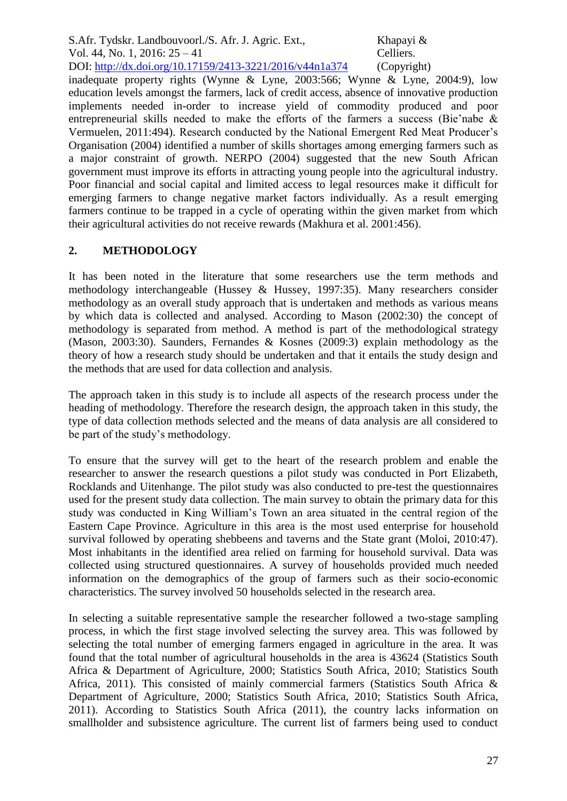inadequate property rights (Wynne & Lyne, 2003:566; Wynne & Lyne, 2004:9), low education levels amongst the farmers, lack of credit access, absence of innovative production implements needed in-order to increase yield of commodity produced and poor entrepreneurial skills needed to make the efforts of the farmers a success (Bie'nabe & Vermuelen, 2011:494). Research conducted by the National Emergent Red Meat Producer's Organisation (2004) identified a number of skills shortages among emerging farmers such as a major constraint of growth. NERPO (2004) suggested that the new South African government must improve its efforts in attracting young people into the agricultural industry. Poor financial and social capital and limited access to legal resources make it difficult for emerging farmers to change negative market factors individually. As a result emerging farmers continue to be trapped in a cycle of operating within the given market from which their agricultural activities do not receive rewards (Makhura et al. 2001:456).

## **2. METHODOLOGY**

It has been noted in the literature that some researchers use the term methods and methodology interchangeable (Hussey & Hussey, 1997:35). Many researchers consider methodology as an overall study approach that is undertaken and methods as various means by which data is collected and analysed. According to Mason (2002:30) the concept of methodology is separated from method. A method is part of the methodological strategy (Mason, 2003:30). Saunders, Fernandes & Kosnes (2009:3) explain methodology as the theory of how a research study should be undertaken and that it entails the study design and the methods that are used for data collection and analysis.

The approach taken in this study is to include all aspects of the research process under the heading of methodology. Therefore the research design, the approach taken in this study, the type of data collection methods selected and the means of data analysis are all considered to be part of the study's methodology.

To ensure that the survey will get to the heart of the research problem and enable the researcher to answer the research questions a pilot study was conducted in Port Elizabeth, Rocklands and Uitenhange. The pilot study was also conducted to pre-test the questionnaires used for the present study data collection. The main survey to obtain the primary data for this study was conducted in King William's Town an area situated in the central region of the Eastern Cape Province. Agriculture in this area is the most used enterprise for household survival followed by operating shebbeens and taverns and the State grant (Moloi, 2010:47). Most inhabitants in the identified area relied on farming for household survival. Data was collected using structured questionnaires. A survey of households provided much needed information on the demographics of the group of farmers such as their socio-economic characteristics. The survey involved 50 households selected in the research area.

In selecting a suitable representative sample the researcher followed a two-stage sampling process, in which the first stage involved selecting the survey area. This was followed by selecting the total number of emerging farmers engaged in agriculture in the area. It was found that the total number of agricultural households in the area is 43624 (Statistics South Africa & Department of Agriculture, 2000; Statistics South Africa, 2010; Statistics South Africa, 2011). This consisted of mainly commercial farmers (Statistics South Africa & Department of Agriculture, 2000; Statistics South Africa, 2010; Statistics South Africa, 2011). According to Statistics South Africa (2011), the country lacks information on smallholder and subsistence agriculture. The current list of farmers being used to conduct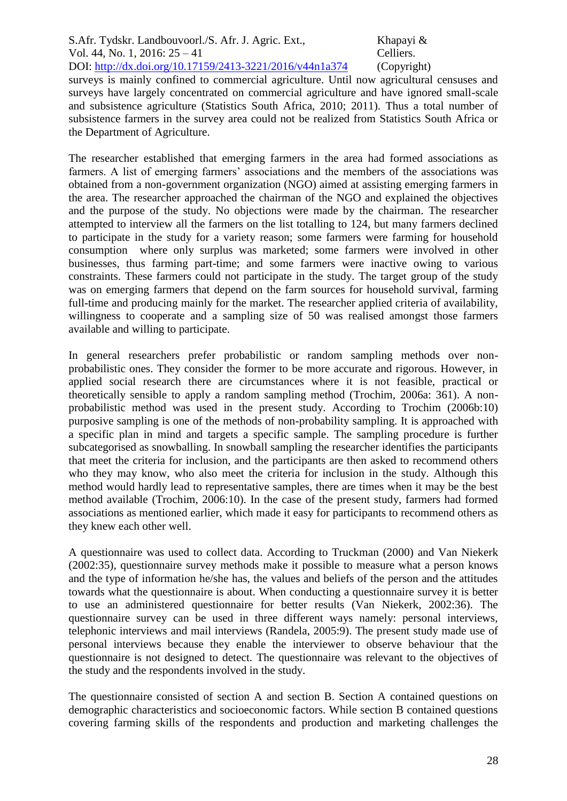S.Afr. Tydskr. Landbouvoorl./S. Afr. J. Agric. Ext., Khapayi & Vol. 44, No. 1, 2016: 25 – 41 Celliers. DOI: http://dx.doi.org/10.17159/2413-3221/2016/v44n1a374 (Copyright) surveys is mainly confined to commercial agriculture. Until now agricultural censuses and surveys have largely concentrated on commercial agriculture and have ignored small-scale and subsistence agriculture (Statistics South Africa, 2010; 2011). Thus a total number of subsistence farmers in the survey area could not be realized from Statistics South Africa or

the Department of Agriculture.

The researcher established that emerging farmers in the area had formed associations as farmers. A list of emerging farmers' associations and the members of the associations was obtained from a non-government organization (NGO) aimed at assisting emerging farmers in the area. The researcher approached the chairman of the NGO and explained the objectives and the purpose of the study. No objections were made by the chairman. The researcher attempted to interview all the farmers on the list totalling to 124, but many farmers declined to participate in the study for a variety reason; some farmers were farming for household consumption where only surplus was marketed; some farmers were involved in other businesses, thus farming part-time; and some farmers were inactive owing to various constraints. These farmers could not participate in the study. The target group of the study was on emerging farmers that depend on the farm sources for household survival, farming full-time and producing mainly for the market. The researcher applied criteria of availability, willingness to cooperate and a sampling size of 50 was realised amongst those farmers available and willing to participate.

In general researchers prefer probabilistic or random sampling methods over nonprobabilistic ones. They consider the former to be more accurate and rigorous. However, in applied social research there are circumstances where it is not feasible, practical or theoretically sensible to apply a random sampling method (Trochim, 2006a: 361). A nonprobabilistic method was used in the present study. According to Trochim (2006b:10) purposive sampling is one of the methods of non-probability sampling. It is approached with a specific plan in mind and targets a specific sample. The sampling procedure is further subcategorised as snowballing. In snowball sampling the researcher identifies the participants that meet the criteria for inclusion, and the participants are then asked to recommend others who they may know, who also meet the criteria for inclusion in the study. Although this method would hardly lead to representative samples, there are times when it may be the best method available (Trochim, 2006:10). In the case of the present study, farmers had formed associations as mentioned earlier, which made it easy for participants to recommend others as they knew each other well.

A questionnaire was used to collect data. According to Truckman (2000) and Van Niekerk (2002:35), questionnaire survey methods make it possible to measure what a person knows and the type of information he/she has, the values and beliefs of the person and the attitudes towards what the questionnaire is about. When conducting a questionnaire survey it is better to use an administered questionnaire for better results (Van Niekerk, 2002:36). The questionnaire survey can be used in three different ways namely: personal interviews, telephonic interviews and mail interviews (Randela, 2005:9). The present study made use of personal interviews because they enable the interviewer to observe behaviour that the questionnaire is not designed to detect. The questionnaire was relevant to the objectives of the study and the respondents involved in the study.

The questionnaire consisted of section A and section B. Section A contained questions on demographic characteristics and socioeconomic factors. While section B contained questions covering farming skills of the respondents and production and marketing challenges the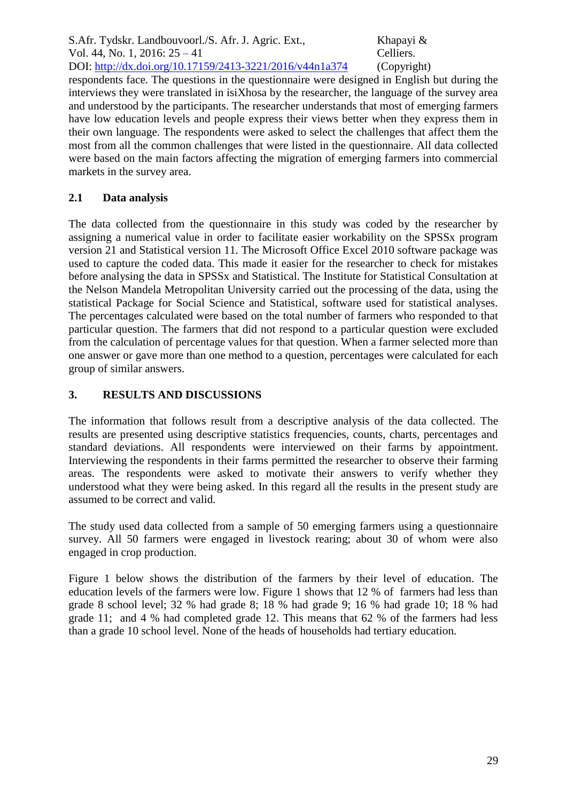respondents face. The questions in the questionnaire were designed in English but during the interviews they were translated in isiXhosa by the researcher, the language of the survey area and understood by the participants. The researcher understands that most of emerging farmers have low education levels and people express their views better when they express them in their own language. The respondents were asked to select the challenges that affect them the most from all the common challenges that were listed in the questionnaire. All data collected were based on the main factors affecting the migration of emerging farmers into commercial markets in the survey area.

# **2.1 Data analysis**

The data collected from the questionnaire in this study was coded by the researcher by assigning a numerical value in order to facilitate easier workability on the SPSSx program version 21 and Statistical version 11. The Microsoft Office Excel 2010 software package was used to capture the coded data. This made it easier for the researcher to check for mistakes before analysing the data in SPSSx and Statistical. The Institute for Statistical Consultation at the Nelson Mandela Metropolitan University carried out the processing of the data, using the statistical Package for Social Science and Statistical, software used for statistical analyses. The percentages calculated were based on the total number of farmers who responded to that particular question. The farmers that did not respond to a particular question were excluded from the calculation of percentage values for that question. When a farmer selected more than one answer or gave more than one method to a question, percentages were calculated for each group of similar answers.

## **3. RESULTS AND DISCUSSIONS**

The information that follows result from a descriptive analysis of the data collected. The results are presented using descriptive statistics frequencies, counts, charts, percentages and standard deviations. All respondents were interviewed on their farms by appointment. Interviewing the respondents in their farms permitted the researcher to observe their farming areas. The respondents were asked to motivate their answers to verify whether they understood what they were being asked. In this regard all the results in the present study are assumed to be correct and valid.

The study used data collected from a sample of 50 emerging farmers using a questionnaire survey. All 50 farmers were engaged in livestock rearing; about 30 of whom were also engaged in crop production.

Figure 1 below shows the distribution of the farmers by their level of education. The education levels of the farmers were low. Figure 1 shows that 12 % of farmers had less than grade 8 school level; 32 % had grade 8; 18 % had grade 9; 16 % had grade 10; 18 % had grade 11; and 4 % had completed grade 12. This means that 62 % of the farmers had less than a grade 10 school level. None of the heads of households had tertiary education.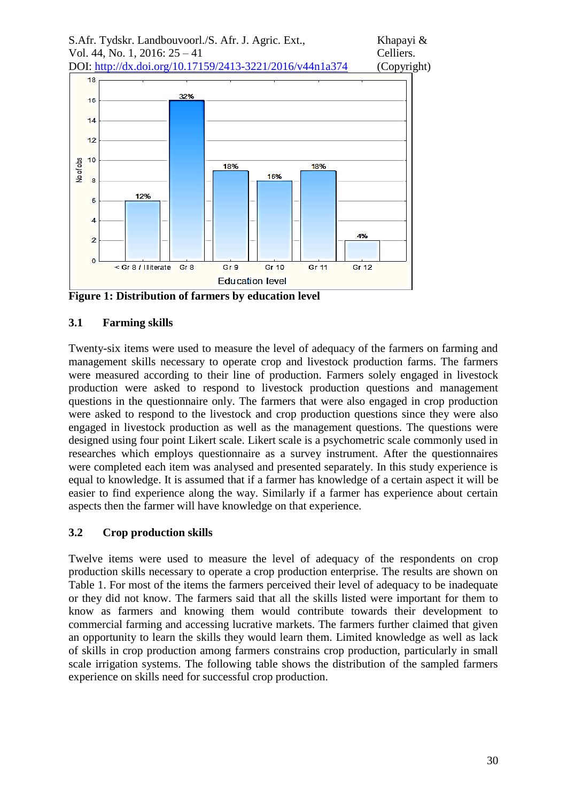



**Figure 1: Distribution of farmers by education level** 

## **3.1 Farming skills**

Twenty-six items were used to measure the level of adequacy of the farmers on farming and management skills necessary to operate crop and livestock production farms. The farmers were measured according to their line of production. Farmers solely engaged in livestock production were asked to respond to livestock production questions and management questions in the questionnaire only. The farmers that were also engaged in crop production were asked to respond to the livestock and crop production questions since they were also engaged in livestock production as well as the management questions. The questions were designed using four point Likert scale. Likert scale is a psychometric scale commonly used in researches which employs questionnaire as a survey instrument. After the questionnaires were completed each item was analysed and presented separately. In this study experience is equal to knowledge. It is assumed that if a farmer has knowledge of a certain aspect it will be easier to find experience along the way. Similarly if a farmer has experience about certain aspects then the farmer will have knowledge on that experience.

## **3.2 Crop production skills**

Twelve items were used to measure the level of adequacy of the respondents on crop production skills necessary to operate a crop production enterprise. The results are shown on Table 1. For most of the items the farmers perceived their level of adequacy to be inadequate or they did not know. The farmers said that all the skills listed were important for them to know as farmers and knowing them would contribute towards their development to commercial farming and accessing lucrative markets. The farmers further claimed that given an opportunity to learn the skills they would learn them. Limited knowledge as well as lack of skills in crop production among farmers constrains crop production, particularly in small scale irrigation systems. The following table shows the distribution of the sampled farmers experience on skills need for successful crop production.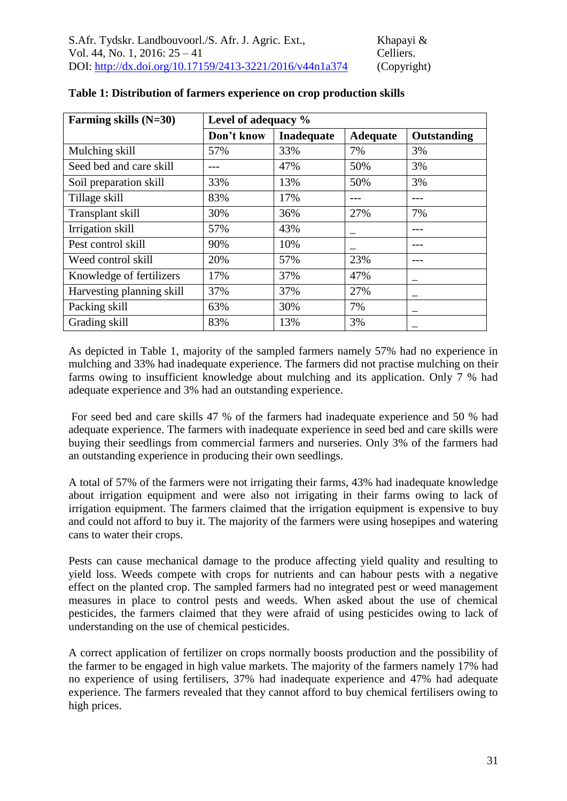| Farming skills (N=30)     | Level of adequacy % |            |                 |                    |
|---------------------------|---------------------|------------|-----------------|--------------------|
|                           | Don't know          | Inadequate | <b>Adequate</b> | <b>Outstanding</b> |
| Mulching skill            | 57%                 | 33%        | 7%              | 3%                 |
| Seed bed and care skill   |                     | 47%        | 50%             | 3%                 |
| Soil preparation skill    | 33%                 | 13%        | 50%             | 3%                 |
| Tillage skill             | 83%                 | 17%        |                 |                    |
| Transplant skill          | 30%                 | 36%        | 27%             | 7%                 |
| Irrigation skill          | 57%                 | 43%        |                 |                    |
| Pest control skill        | 90%                 | 10%        |                 |                    |
| Weed control skill        | 20%                 | 57%        | 23%             |                    |
| Knowledge of fertilizers  | 17%                 | 37%        | 47%             |                    |
| Harvesting planning skill | 37%                 | 37%        | 27%             |                    |
| Packing skill             | 63%                 | 30%        | 7%              |                    |
| Grading skill             | 83%                 | 13%        | 3%              |                    |

#### **Table 1: Distribution of farmers experience on crop production skills**

As depicted in Table 1, majority of the sampled farmers namely 57% had no experience in mulching and 33% had inadequate experience. The farmers did not practise mulching on their farms owing to insufficient knowledge about mulching and its application. Only 7 % had adequate experience and 3% had an outstanding experience.

For seed bed and care skills 47 % of the farmers had inadequate experience and 50 % had adequate experience. The farmers with inadequate experience in seed bed and care skills were buying their seedlings from commercial farmers and nurseries. Only 3% of the farmers had an outstanding experience in producing their own seedlings.

A total of 57% of the farmers were not irrigating their farms, 43% had inadequate knowledge about irrigation equipment and were also not irrigating in their farms owing to lack of irrigation equipment. The farmers claimed that the irrigation equipment is expensive to buy and could not afford to buy it. The majority of the farmers were using hosepipes and watering cans to water their crops.

Pests can cause mechanical damage to the produce affecting yield quality and resulting to yield loss. Weeds compete with crops for nutrients and can habour pests with a negative effect on the planted crop. The sampled farmers had no integrated pest or weed management measures in place to control pests and weeds. When asked about the use of chemical pesticides, the farmers claimed that they were afraid of using pesticides owing to lack of understanding on the use of chemical pesticides.

A correct application of fertilizer on crops normally boosts production and the possibility of the farmer to be engaged in high value markets. The majority of the farmers namely 17% had no experience of using fertilisers, 37% had inadequate experience and 47% had adequate experience. The farmers revealed that they cannot afford to buy chemical fertilisers owing to high prices.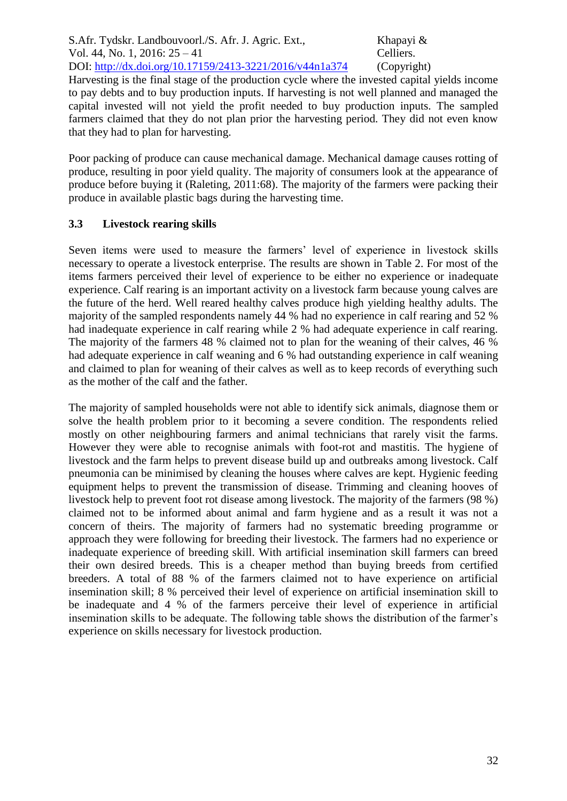Harvesting is the final stage of the production cycle where the invested capital yields income to pay debts and to buy production inputs. If harvesting is not well planned and managed the capital invested will not yield the profit needed to buy production inputs. The sampled farmers claimed that they do not plan prior the harvesting period. They did not even know that they had to plan for harvesting.

Poor packing of produce can cause mechanical damage. Mechanical damage causes rotting of produce, resulting in poor yield quality. The majority of consumers look at the appearance of produce before buying it (Raleting, 2011:68). The majority of the farmers were packing their produce in available plastic bags during the harvesting time.

# **3.3 Livestock rearing skills**

Seven items were used to measure the farmers' level of experience in livestock skills necessary to operate a livestock enterprise. The results are shown in Table 2. For most of the items farmers perceived their level of experience to be either no experience or inadequate experience. Calf rearing is an important activity on a livestock farm because young calves are the future of the herd. Well reared healthy calves produce high yielding healthy adults. The majority of the sampled respondents namely 44 % had no experience in calf rearing and 52 % had inadequate experience in calf rearing while 2 % had adequate experience in calf rearing. The majority of the farmers 48 % claimed not to plan for the weaning of their calves, 46 % had adequate experience in calf weaning and 6 % had outstanding experience in calf weaning and claimed to plan for weaning of their calves as well as to keep records of everything such as the mother of the calf and the father.

The majority of sampled households were not able to identify sick animals, diagnose them or solve the health problem prior to it becoming a severe condition. The respondents relied mostly on other neighbouring farmers and animal technicians that rarely visit the farms. However they were able to recognise animals with foot-rot and mastitis. The hygiene of livestock and the farm helps to prevent disease build up and outbreaks among livestock. Calf pneumonia can be minimised by cleaning the houses where calves are kept. Hygienic feeding equipment helps to prevent the transmission of disease. Trimming and cleaning hooves of livestock help to prevent foot rot disease among livestock. The majority of the farmers (98 %) claimed not to be informed about animal and farm hygiene and as a result it was not a concern of theirs. The majority of farmers had no systematic breeding programme or approach they were following for breeding their livestock. The farmers had no experience or inadequate experience of breeding skill. With artificial insemination skill farmers can breed their own desired breeds. This is a cheaper method than buying breeds from certified breeders. A total of 88 % of the farmers claimed not to have experience on artificial insemination skill; 8 % perceived their level of experience on artificial insemination skill to be inadequate and 4 % of the farmers perceive their level of experience in artificial insemination skills to be adequate. The following table shows the distribution of the farmer's experience on skills necessary for livestock production.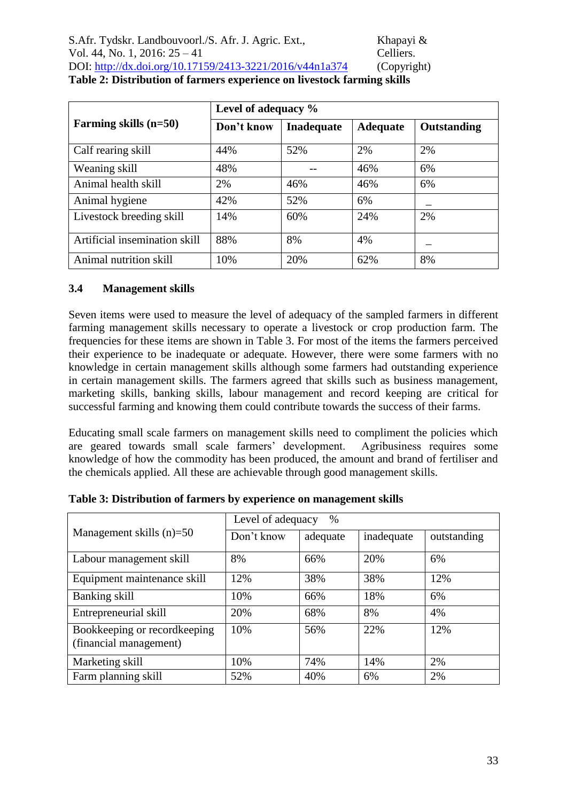|                               |            | Level of adequacy % |                 |             |  |
|-------------------------------|------------|---------------------|-----------------|-------------|--|
| Farming skills $(n=50)$       | Don't know | <b>Inadequate</b>   | <b>Adequate</b> | Outstanding |  |
| Calf rearing skill            | 44%        | 52%                 | 2%              | 2%          |  |
| Weaning skill                 | 48%        |                     | 46%             | 6%          |  |
| Animal health skill           | 2%         | 46%                 | 46%             | 6%          |  |
| Animal hygiene                | 42%        | 52%                 | 6%              |             |  |
| Livestock breeding skill      | 14%        | 60%                 | 24%             | 2%          |  |
| Artificial insemination skill | 88%        | 8%                  | 4%              |             |  |
| Animal nutrition skill        | 10%        | 20%                 | 62%             | 8%          |  |

**Table 2: Distribution of farmers experience on livestock farming skills**

## **3.4 Management skills**

Seven items were used to measure the level of adequacy of the sampled farmers in different farming management skills necessary to operate a livestock or crop production farm. The frequencies for these items are shown in Table 3. For most of the items the farmers perceived their experience to be inadequate or adequate. However, there were some farmers with no knowledge in certain management skills although some farmers had outstanding experience in certain management skills. The farmers agreed that skills such as business management, marketing skills, banking skills, labour management and record keeping are critical for successful farming and knowing them could contribute towards the success of their farms.

Educating small scale farmers on management skills need to compliment the policies which are geared towards small scale farmers' development. Agribusiness requires some knowledge of how the commodity has been produced, the amount and brand of fertiliser and the chemicals applied. All these are achievable through good management skills.

|                                                        | Level of adequacy<br>$\%$ |          |            |             |
|--------------------------------------------------------|---------------------------|----------|------------|-------------|
| Management skills $(n)=50$                             | Don't know                | adequate | inadequate | outstanding |
| Labour management skill                                | 8%                        | 66%      | 20%        | 6%          |
| Equipment maintenance skill                            | 12%                       | 38%      | 38%        | 12%         |
| Banking skill                                          | 10%                       | 66%      | 18%        | 6%          |
| Entrepreneurial skill                                  | 20%                       | 68%      | 8%         | 4%          |
| Bookkeeping or recordkeeping<br>(financial management) | 10%                       | 56%      | 22%        | 12%         |
| Marketing skill                                        | 10%                       | 74%      | 14%        | 2%          |
| Farm planning skill                                    | 52%                       | 40%      | 6%         | 2%          |

**Table 3: Distribution of farmers by experience on management skills**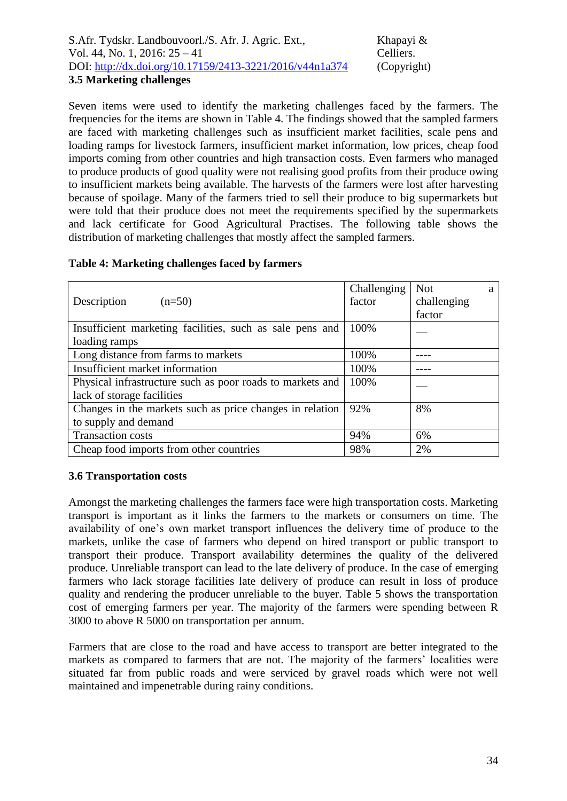Seven items were used to identify the marketing challenges faced by the farmers. The frequencies for the items are shown in Table 4. The findings showed that the sampled farmers are faced with marketing challenges such as insufficient market facilities, scale pens and loading ramps for livestock farmers, insufficient market information, low prices, cheap food imports coming from other countries and high transaction costs. Even farmers who managed to produce products of good quality were not realising good profits from their produce owing to insufficient markets being available. The harvests of the farmers were lost after harvesting because of spoilage. Many of the farmers tried to sell their produce to big supermarkets but were told that their produce does not meet the requirements specified by the supermarkets and lack certificate for Good Agricultural Practises. The following table shows the distribution of marketing challenges that mostly affect the sampled farmers.

|                                                           | Challenging | <b>Not</b>  | a |
|-----------------------------------------------------------|-------------|-------------|---|
| Description<br>$(n=50)$                                   | factor      | challenging |   |
|                                                           |             | factor      |   |
| Insufficient marketing facilities, such as sale pens and  | 100%        |             |   |
| loading ramps                                             |             |             |   |
| Long distance from farms to markets                       | 100%        |             |   |
| Insufficient market information                           | 100%        |             |   |
| Physical infrastructure such as poor roads to markets and | 100%        |             |   |
| lack of storage facilities                                |             |             |   |
| Changes in the markets such as price changes in relation  | 92%         | 8%          |   |
| to supply and demand                                      |             |             |   |
| <b>Transaction costs</b>                                  | 94%         | 6%          |   |
| Cheap food imports from other countries                   | 98%         | 2%          |   |

#### **Table 4: Marketing challenges faced by farmers**

#### **3.6 Transportation costs**

Amongst the marketing challenges the farmers face were high transportation costs. Marketing transport is important as it links the farmers to the markets or consumers on time. The availability of one's own market transport influences the delivery time of produce to the markets, unlike the case of farmers who depend on hired transport or public transport to transport their produce. Transport availability determines the quality of the delivered produce. Unreliable transport can lead to the late delivery of produce. In the case of emerging farmers who lack storage facilities late delivery of produce can result in loss of produce quality and rendering the producer unreliable to the buyer. Table 5 shows the transportation cost of emerging farmers per year. The majority of the farmers were spending between R 3000 to above R 5000 on transportation per annum.

Farmers that are close to the road and have access to transport are better integrated to the markets as compared to farmers that are not. The majority of the farmers' localities were situated far from public roads and were serviced by gravel roads which were not well maintained and impenetrable during rainy conditions.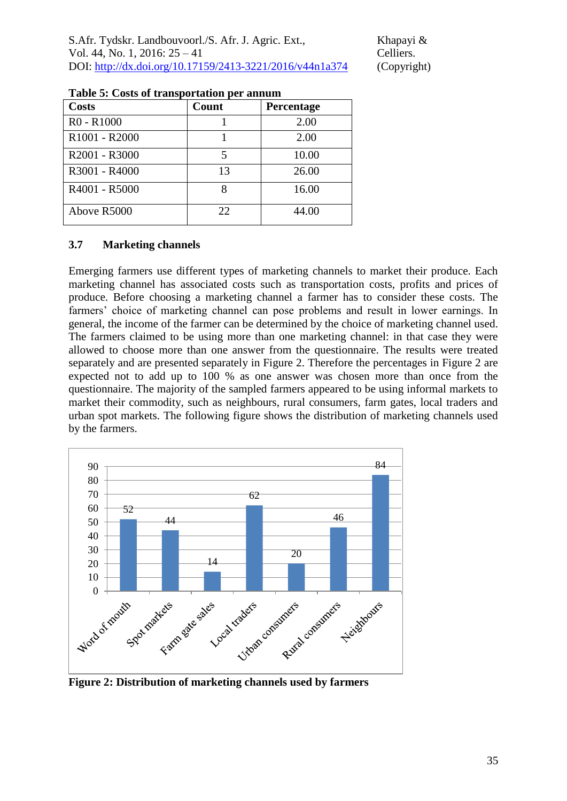| rabic 5. Costs or transportation per annum |       |            |  |
|--------------------------------------------|-------|------------|--|
| Costs                                      | Count | Percentage |  |
| $R0 - R1000$                               |       | 2.00       |  |
| R <sub>1001</sub> - R <sub>2000</sub>      |       | 2.00       |  |
| R2001 - R3000                              | 5     | 10.00      |  |
| R3001 - R4000                              | 13    | 26.00      |  |
| R4001 - R5000                              | 8     | 16.00      |  |
| Above R5000                                | 22    | 44.00      |  |

|  |  | Table 5: Costs of transportation per annum |
|--|--|--------------------------------------------|
|--|--|--------------------------------------------|

## **3.7 Marketing channels**

Emerging farmers use different types of marketing channels to market their produce. Each marketing channel has associated costs such as transportation costs, profits and prices of produce. Before choosing a marketing channel a farmer has to consider these costs. The farmers' choice of marketing channel can pose problems and result in lower earnings. In general, the income of the farmer can be determined by the choice of marketing channel used. The farmers claimed to be using more than one marketing channel: in that case they were allowed to choose more than one answer from the questionnaire. The results were treated separately and are presented separately in Figure 2. Therefore the percentages in Figure 2 are expected not to add up to 100 % as one answer was chosen more than once from the questionnaire. The majority of the sampled farmers appeared to be using informal markets to market their commodity, such as neighbours, rural consumers, farm gates, local traders and urban spot markets. The following figure shows the distribution of marketing channels used by the farmers.



**Figure 2: Distribution of marketing channels used by farmers**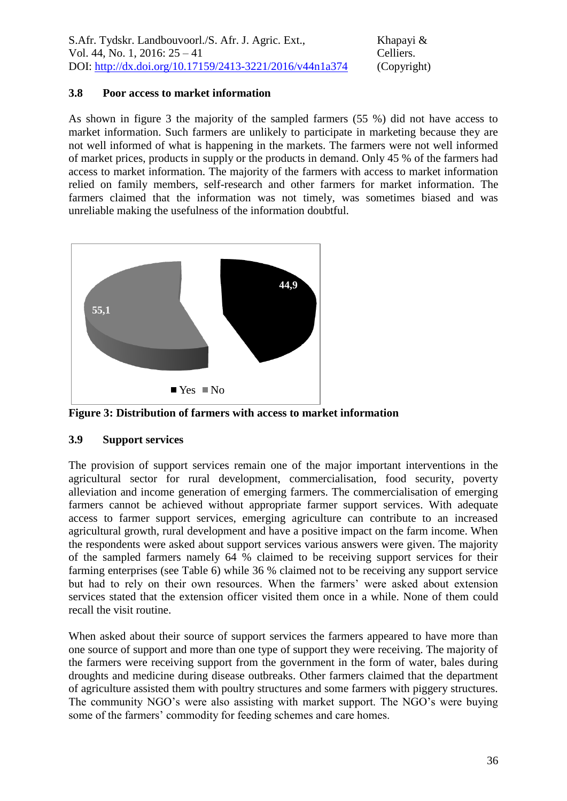## **3.8 Poor access to market information**

As shown in figure 3 the majority of the sampled farmers (55 %) did not have access to market information. Such farmers are unlikely to participate in marketing because they are not well informed of what is happening in the markets. The farmers were not well informed of market prices, products in supply or the products in demand. Only 45 % of the farmers had access to market information. The majority of the farmers with access to market information relied on family members, self-research and other farmers for market information. The farmers claimed that the information was not timely, was sometimes biased and was unreliable making the usefulness of the information doubtful.



**Figure 3: Distribution of farmers with access to market information**

## **3.9 Support services**

The provision of support services remain one of the major important interventions in the agricultural sector for rural development, commercialisation, food security, poverty alleviation and income generation of emerging farmers. The commercialisation of emerging farmers cannot be achieved without appropriate farmer support services. With adequate access to farmer support services, emerging agriculture can contribute to an increased agricultural growth, rural development and have a positive impact on the farm income. When the respondents were asked about support services various answers were given. The majority of the sampled farmers namely 64 % claimed to be receiving support services for their farming enterprises (see Table 6) while 36 % claimed not to be receiving any support service but had to rely on their own resources. When the farmers' were asked about extension services stated that the extension officer visited them once in a while. None of them could recall the visit routine.

When asked about their source of support services the farmers appeared to have more than one source of support and more than one type of support they were receiving. The majority of the farmers were receiving support from the government in the form of water, bales during droughts and medicine during disease outbreaks. Other farmers claimed that the department of agriculture assisted them with poultry structures and some farmers with piggery structures. The community NGO's were also assisting with market support. The NGO's were buying some of the farmers' commodity for feeding schemes and care homes.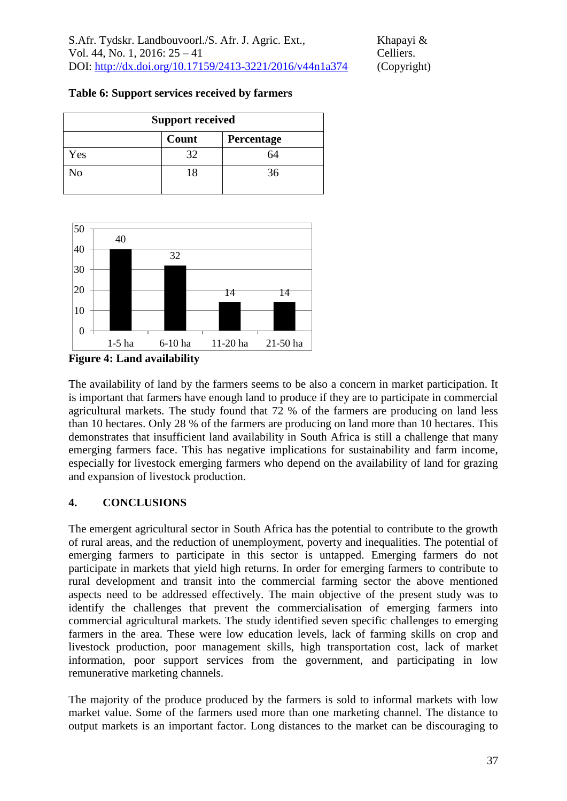| <b>Support received</b> |       |            |  |
|-------------------------|-------|------------|--|
|                         | Count | Percentage |  |
| Yes                     | 32    | 64         |  |
| No                      | 18    | 36         |  |



**Figure 4: Land availability**

The availability of land by the farmers seems to be also a concern in market participation. It is important that farmers have enough land to produce if they are to participate in commercial agricultural markets. The study found that 72 % of the farmers are producing on land less than 10 hectares. Only 28 % of the farmers are producing on land more than 10 hectares. This demonstrates that insufficient land availability in South Africa is still a challenge that many emerging farmers face. This has negative implications for sustainability and farm income, especially for livestock emerging farmers who depend on the availability of land for grazing and expansion of livestock production.

# **4. CONCLUSIONS**

The emergent agricultural sector in South Africa has the potential to contribute to the growth of rural areas, and the reduction of unemployment, poverty and inequalities. The potential of emerging farmers to participate in this sector is untapped. Emerging farmers do not participate in markets that yield high returns. In order for emerging farmers to contribute to rural development and transit into the commercial farming sector the above mentioned aspects need to be addressed effectively. The main objective of the present study was to identify the challenges that prevent the commercialisation of emerging farmers into commercial agricultural markets. The study identified seven specific challenges to emerging farmers in the area. These were low education levels, lack of farming skills on crop and livestock production, poor management skills, high transportation cost, lack of market information, poor support services from the government, and participating in low remunerative marketing channels.

The majority of the produce produced by the farmers is sold to informal markets with low market value. Some of the farmers used more than one marketing channel. The distance to output markets is an important factor. Long distances to the market can be discouraging to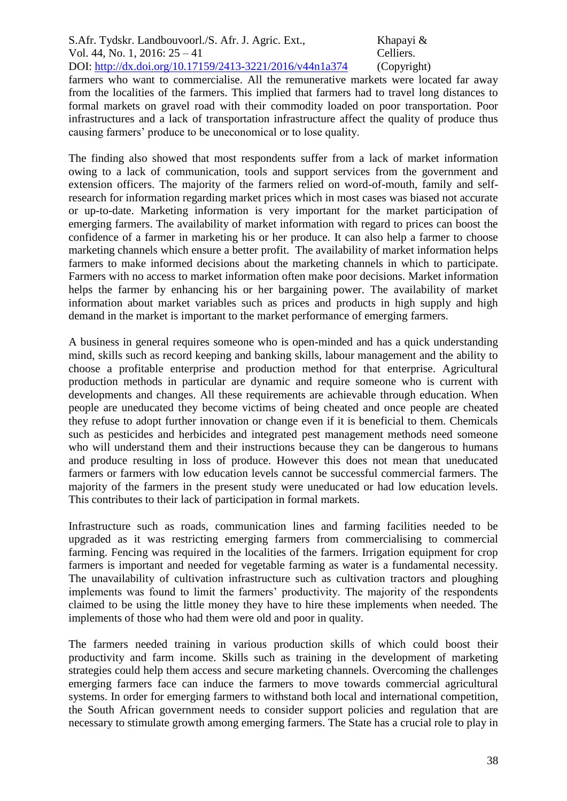farmers who want to commercialise. All the remunerative markets were located far away from the localities of the farmers. This implied that farmers had to travel long distances to formal markets on gravel road with their commodity loaded on poor transportation. Poor infrastructures and a lack of transportation infrastructure affect the quality of produce thus causing farmers' produce to be uneconomical or to lose quality.

The finding also showed that most respondents suffer from a lack of market information owing to a lack of communication, tools and support services from the government and extension officers. The majority of the farmers relied on word-of-mouth, family and selfresearch for information regarding market prices which in most cases was biased not accurate or up-to-date. Marketing information is very important for the market participation of emerging farmers. The availability of market information with regard to prices can boost the confidence of a farmer in marketing his or her produce. It can also help a farmer to choose marketing channels which ensure a better profit. The availability of market information helps farmers to make informed decisions about the marketing channels in which to participate. Farmers with no access to market information often make poor decisions. Market information helps the farmer by enhancing his or her bargaining power. The availability of market information about market variables such as prices and products in high supply and high demand in the market is important to the market performance of emerging farmers.

A business in general requires someone who is open-minded and has a quick understanding mind, skills such as record keeping and banking skills, labour management and the ability to choose a profitable enterprise and production method for that enterprise. Agricultural production methods in particular are dynamic and require someone who is current with developments and changes. All these requirements are achievable through education. When people are uneducated they become victims of being cheated and once people are cheated they refuse to adopt further innovation or change even if it is beneficial to them. Chemicals such as pesticides and herbicides and integrated pest management methods need someone who will understand them and their instructions because they can be dangerous to humans and produce resulting in loss of produce. However this does not mean that uneducated farmers or farmers with low education levels cannot be successful commercial farmers. The majority of the farmers in the present study were uneducated or had low education levels. This contributes to their lack of participation in formal markets.

Infrastructure such as roads, communication lines and farming facilities needed to be upgraded as it was restricting emerging farmers from commercialising to commercial farming. Fencing was required in the localities of the farmers. Irrigation equipment for crop farmers is important and needed for vegetable farming as water is a fundamental necessity. The unavailability of cultivation infrastructure such as cultivation tractors and ploughing implements was found to limit the farmers' productivity. The majority of the respondents claimed to be using the little money they have to hire these implements when needed. The implements of those who had them were old and poor in quality.

The farmers needed training in various production skills of which could boost their productivity and farm income. Skills such as training in the development of marketing strategies could help them access and secure marketing channels. Overcoming the challenges emerging farmers face can induce the farmers to move towards commercial agricultural systems. In order for emerging farmers to withstand both local and international competition, the South African government needs to consider support policies and regulation that are necessary to stimulate growth among emerging farmers. The State has a crucial role to play in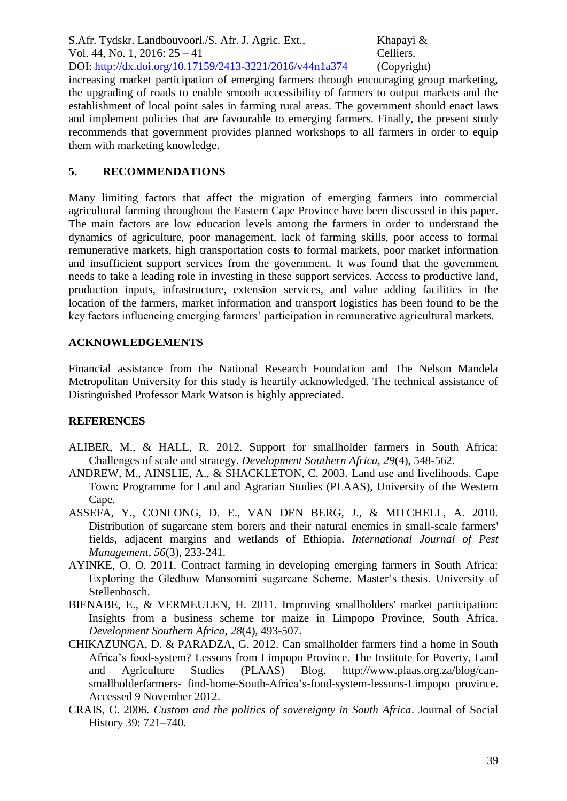increasing market participation of emerging farmers through encouraging group marketing, the upgrading of roads to enable smooth accessibility of farmers to output markets and the establishment of local point sales in farming rural areas. The government should enact laws and implement policies that are favourable to emerging farmers. Finally, the present study recommends that government provides planned workshops to all farmers in order to equip them with marketing knowledge.

## **5. RECOMMENDATIONS**

Many limiting factors that affect the migration of emerging farmers into commercial agricultural farming throughout the Eastern Cape Province have been discussed in this paper. The main factors are low education levels among the farmers in order to understand the dynamics of agriculture, poor management, lack of farming skills, poor access to formal remunerative markets, high transportation costs to formal markets, poor market information and insufficient support services from the government. It was found that the government needs to take a leading role in investing in these support services. Access to productive land, production inputs, infrastructure, extension services, and value adding facilities in the location of the farmers, market information and transport logistics has been found to be the key factors influencing emerging farmers' participation in remunerative agricultural markets.

# **ACKNOWLEDGEMENTS**

Financial assistance from the National Research Foundation and The Nelson Mandela Metropolitan University for this study is heartily acknowledged. The technical assistance of Distinguished Professor Mark Watson is highly appreciated.

# **REFERENCES**

- ALIBER, M., & HALL, R. 2012. Support for smallholder farmers in South Africa: Challenges of scale and strategy. *Development Southern Africa*, *29*(4), 548-562.
- ANDREW, M., AINSLIE, A., & SHACKLETON, C. 2003. Land use and livelihoods. Cape Town: Programme for Land and Agrarian Studies (PLAAS), University of the Western Cape.
- ASSEFA, Y., CONLONG, D. E., VAN DEN BERG, J., & MITCHELL, A. 2010. Distribution of sugarcane stem borers and their natural enemies in small-scale farmers' fields, adjacent margins and wetlands of Ethiopia. *International Journal of Pest Management*, *56*(3), 233-241.
- AYINKE, O. O. 2011. Contract farming in developing emerging farmers in South Africa: Exploring the Gledhow Mansomini sugarcane Scheme. Master's thesis. University of Stellenbosch.
- BIENABE, E., & VERMEULEN, H. 2011. Improving smallholders' market participation: Insights from a business scheme for maize in Limpopo Province, South Africa. *Development Southern Africa*, *28*(4), 493-507.
- CHIKAZUNGA, D. & PARADZA, G. 2012. Can smallholder farmers find a home in South Africa's food-system? Lessons from Limpopo Province. The Institute for Poverty, Land and Agriculture Studies (PLAAS) Blog. [http://www.plaas.org.za/blog/can](http://www.plaas.org.za/blog/can-smallholderfarmers-)[smallholderfarmers-](http://www.plaas.org.za/blog/can-smallholderfarmers-) find-home-South-Africa's-food-system-lessons-Limpopo province. Accessed 9 November 2012.
- CRAIS, C. 2006. *Custom and the politics of sovereignty in South Africa*. Journal of Social History 39: 721–740.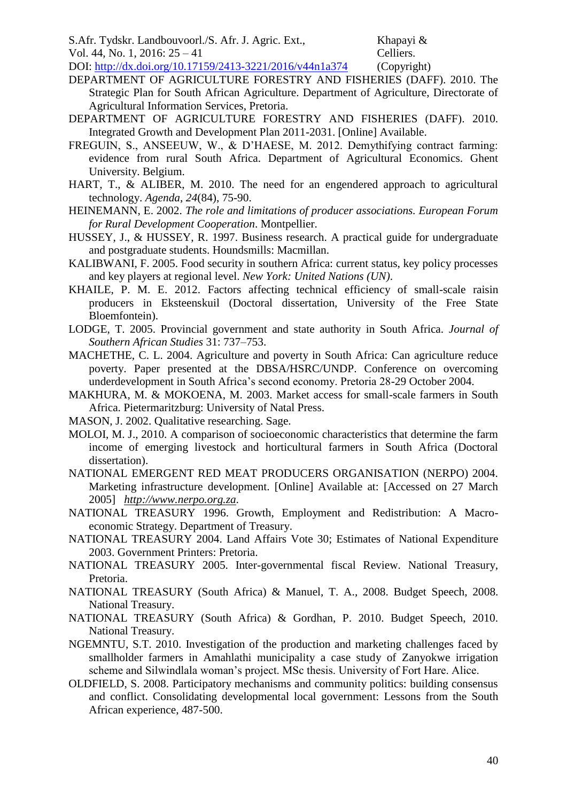- S.Afr. Tydskr. Landbouvoorl./S. Afr. J. Agric. Ext., Khapayi &
- Vol. 44, No. 1, 2016: 25 41 Celliers.

DOI: http://dx.doi.org/10.17159/2413-3221/2016/v44n1a374 (Copyright)

- DEPARTMENT OF AGRICULTURE FORESTRY AND FISHERIES (DAFF). 2010. The Strategic Plan for South African Agriculture. Department of Agriculture, Directorate of Agricultural Information Services, Pretoria.
- DEPARTMENT OF AGRICULTURE FORESTRY AND FISHERIES (DAFF). 2010. Integrated Growth and Development Plan 2011-2031. [Online] Available.
- FREGUIN, S., ANSEEUW, W., & D'HAESE, M. 2012. Demythifying contract farming: evidence from rural South Africa. Department of Agricultural Economics. Ghent University. Belgium.
- HART, T., & ALIBER, M. 2010. The need for an engendered approach to agricultural technology. *Agenda*, *24*(84), 75-90.
- HEINEMANN, E. 2002. *The role and limitations of producer associations. European Forum for Rural Development Cooperation*. Montpellier.
- HUSSEY, J., & HUSSEY, R. 1997. Business research. A practical guide for undergraduate and postgraduate students. Houndsmills: Macmillan.
- KALIBWANI, F. 2005. Food security in southern Africa: current status, key policy processes and key players at regional level. *New York: United Nations (UN)*.
- KHAILE, P. M. E. 2012. Factors affecting technical efficiency of small-scale raisin producers in Eksteenskuil (Doctoral dissertation, University of the Free State Bloemfontein).
- LODGE, T. 2005. Provincial government and state authority in South Africa. *Journal of Southern African Studies* 31: 737–753.
- MACHETHE, C. L. 2004. Agriculture and poverty in South Africa: Can agriculture reduce poverty. Paper presented at the DBSA/HSRC/UNDP. Conference on overcoming underdevelopment in South Africa's second economy. Pretoria 28-29 October 2004.
- MAKHURA, M. & MOKOENA, M. 2003. Market access for small-scale farmers in South Africa. Pietermaritzburg: University of Natal Press.
- MASON, J. 2002. Qualitative researching. Sage.
- MOLOI, M. J., 2010. A comparison of socioeconomic characteristics that determine the farm income of emerging livestock and horticultural farmers in South Africa (Doctoral dissertation).
- NATIONAL EMERGENT RED MEAT PRODUCERS ORGANISATION (NERPO) 2004. Marketing infrastructure development. [Online] Available at: [Accessed on 27 March 2005] *[http://www.nerpo.org.za.](http://www.nerpo.org.za/)*
- NATIONAL TREASURY 1996. Growth, Employment and Redistribution: A Macroeconomic Strategy. Department of Treasury.
- NATIONAL TREASURY 2004. Land Affairs Vote 30; Estimates of National Expenditure 2003. Government Printers: Pretoria.
- NATIONAL TREASURY 2005. Inter-governmental fiscal Review. National Treasury, Pretoria.
- NATIONAL TREASURY (South Africa) & Manuel, T. A., 2008. Budget Speech, 2008. National Treasury.
- NATIONAL TREASURY (South Africa) & Gordhan, P. 2010. Budget Speech, 2010. National Treasury.
- NGEMNTU, S.T. 2010. Investigation of the production and marketing challenges faced by smallholder farmers in Amahlathi municipality a case study of Zanyokwe irrigation scheme and Silwindlala woman's project. MSc thesis. University of Fort Hare. Alice.
- OLDFIELD, S. 2008. Participatory mechanisms and community politics: building consensus and conflict. Consolidating developmental local government: Lessons from the South African experience, 487-500.